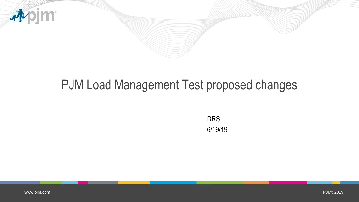

## PJM Load Management Test proposed changes

DRS 6/19/19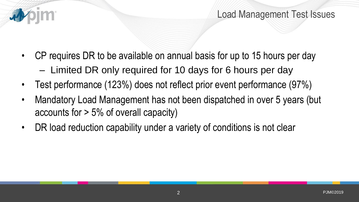

- CP requires DR to be available on annual basis for up to 15 hours per day
	- Limited DR only required for 10 days for 6 hours per day
- Test performance (123%) does not reflect prior event performance (97%)
- Mandatory Load Management has not been dispatched in over 5 years (but accounts for > 5% of overall capacity)
- DR load reduction capability under a variety of conditions is not clear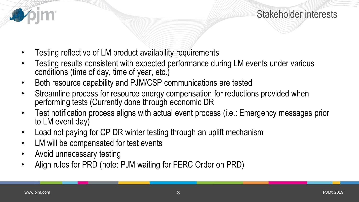

- Testing reflective of LM product availability requirements
- Testing results consistent with expected performance during LM events under various conditions (time of day, time of year, etc.)
- Both resource capability and PJM/CSP communications are tested
- Streamline process for resource energy compensation for reductions provided when performing tests (Currently done through economic DR
- Test notification process aligns with actual event process (i.e.: Emergency messages prior to LM event day)
- Load not paying for CP DR winter testing through an uplift mechanism
- LM will be compensated for test events
- Avoid unnecessary testing
- Align rules for PRD (note: PJM waiting for FERC Order on PRD)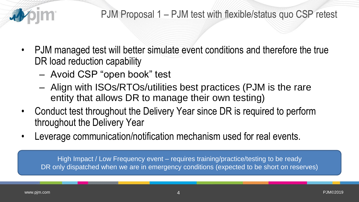

- PJM managed test will better simulate event conditions and therefore the true DR load reduction capability
	- Avoid CSP "open book" test
	- Align with ISOs/RTOs/utilities best practices (PJM is the rare entity that allows DR to manage their own testing)
- Conduct test throughout the Delivery Year since DR is required to perform throughout the Delivery Year
- Leverage communication/notification mechanism used for real events.

High Impact / Low Frequency event – requires training/practice/testing to be ready DR only dispatched when we are in emergency conditions (expected to be short on reserves)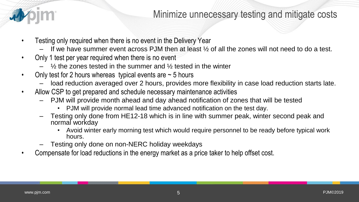## Minimize unnecessary testing and mitigate costs

- Testing only required when there is no event in the Delivery Year
	- If we have summer event across PJM then at least  $\frac{1}{2}$  of all the zones will not need to do a test.
- Only 1 test per year required when there is no event
	- $\frac{1}{2}$  the zones tested in the summer and  $\frac{1}{2}$  tested in the winter
- Only test for 2 hours whereas typical events are  $\sim$  5 hours
	- load reduction averaged over 2 hours, provides more flexibility in case load reduction starts late.
- Allow CSP to get prepared and schedule necessary maintenance activities
	- PJM will provide month ahead and day ahead notification of zones that will be tested
		- PJM will provide normal lead time advanced notification on the test day.
	- Testing only done from HE12-18 which is in line with summer peak, winter second peak and normal workday
		- Avoid winter early morning test which would require personnel to be ready before typical work hours.
	- Testing only done on non-NERC holiday weekdays
- Compensate for load reductions in the energy market as a price taker to help offset cost.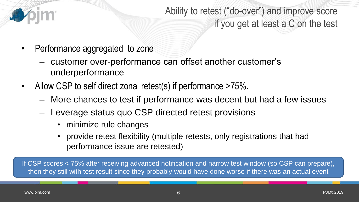

Ability to retest ("do-over") and improve score if you get at least a C on the test

- Performance aggregated to zone
	- customer over-performance can offset another customer's underperformance
- Allow CSP to self direct zonal retest(s) if performance >75%.
	- More chances to test if performance was decent but had a few issues
	- Leverage status quo CSP directed retest provisions
		- minimize rule changes
		- provide retest flexibility (multiple retests, only registrations that had performance issue are retested)

If CSP scores < 75% after receiving advanced notification and narrow test window (so CSP can prepare), then they still with test result since they probably would have done worse if there was an actual event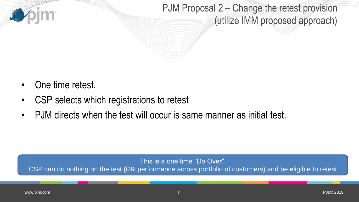

PJM Proposal 2 – Change the retest provision (utilize IMM proposed approach)

- One time retest.
- CSP selects which registrations to retest
- PJM directs when the test will occur is same manner as initial test.

This is a one time "Do Over".

CSP can do nothing on the test (0% performance across portfolio of customers) and be eligible to retest